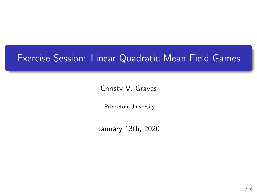## Exercise Session: Linear Quadratic Mean Field Games

Christy V. Graves

Princeton University

January 13th, 2020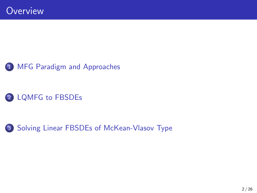## 2 [LQMFG to FBSDEs](#page-6-0)

3 [Solving Linear FBSDEs of McKean-Vlasov Type](#page-12-0)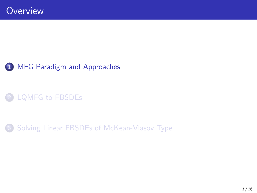## <span id="page-2-0"></span>2 [LQMFG to FBSDEs](#page-6-0)

3 [Solving Linear FBSDEs of McKean-Vlasov Type](#page-12-0)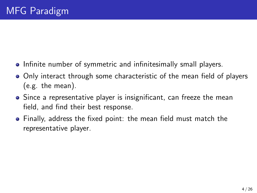- **Infinite number of symmetric and infinitesimally small players.**
- Only interact through some characteristic of the mean field of players (e.g. the mean).
- Since a representative player is insignificant, can freeze the mean field, and find their best response.
- Finally, address the fixed point: the mean field must match the representative player.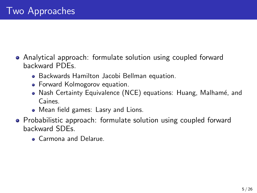- Analytical approach: formulate solution using coupled forward backward PDEs.
	- Backwards Hamilton Jacobi Bellman equation.
	- Forward Kolmogorov equation.
	- Nash Certainty Equivalence (NCE) equations: Huang, Malhamé, and Caines.
	- Mean field games: Lasry and Lions.
- Probabilistic approach: formulate solution using coupled forward backward SDEs.
	- **Carmona and Delarue.**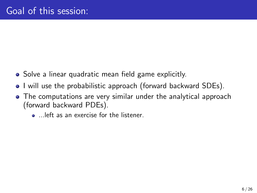- Solve a linear quadratic mean field game explicitly.
- I will use the probabilistic approach (forward backward SDEs).
- The computations are very similar under the analytical approach (forward backward PDEs).
	- ...left as an exercise for the listener.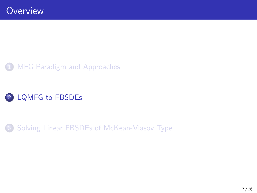<span id="page-6-0"></span>

3 [Solving Linear FBSDEs of McKean-Vlasov Type](#page-12-0)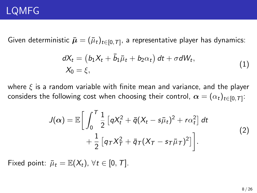## LQMFG

Given deterministic  $\bar{\bm{\mu}} = (\bar{\mu}_t)_{t\in [0,\mathcal{T}]}.$  a representative player has dynamics:

$$
dX_t = (b_1X_t + \bar{b}_1\bar{\mu}_t + b_2\alpha_t) dt + \sigma dW_t, X_0 = \xi,
$$
\n(1)

where  $\xi$  is a random variable with finite mean and variance, and the player considers the following cost when choosing their control,  $\bm{\alpha} = (\alpha_t)_{t\in [0,\mathcal{T}]}$ :

$$
J(\alpha) = \mathbb{E}\bigg[\int_0^T \frac{1}{2} \left[qX_t^2 + \bar{q}(X_t - s\bar{\mu}_t)^2 + r\alpha_t^2\right] dt + \frac{1}{2} \left[q_T X_T^2 + \bar{q}_T (X_T - s_T \bar{\mu}_T)^2\right]\bigg].
$$
\n(2)

Fixed point:  $\bar{\mu}_t = \mathbb{E}(X_t)$ ,  $\forall t \in [0, T]$ .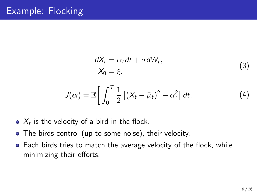$$
dX_t = \alpha_t dt + \sigma dW_t,
$$
  
\n
$$
X_0 = \xi,
$$
\n(3)

$$
J(\alpha) = \mathbb{E}\bigg[\int_0^T \frac{1}{2}\left[(X_t - \bar{\mu}_t)^2 + \alpha_t^2\right]dt. \tag{4}
$$

- $X_t$  is the velocity of a bird in the flock.
- The birds control (up to some noise), their velocity.
- Each birds tries to match the average velocity of the flock, while minimizing their efforts.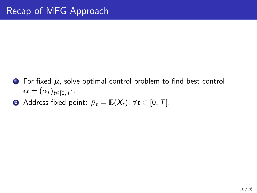- **•** For fixed  $\bar{\mu}$ , solve optimal control problem to find best control  $\boldsymbol{\alpha} = (\alpha_t)_{t\in [0,\mathcal{T}]}$  .
- **2** Address fixed point:  $\bar{\mu}_t = \mathbb{E}(X_t)$ ,  $\forall t \in [0, T]$ .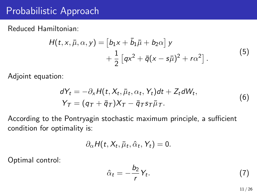## Probabilistic Approach

Reduced Hamiltonian:

$$
H(t, x, \bar{\mu}, \alpha, y) = [b_1x + \bar{b}_1\bar{\mu} + b_2\alpha] y + \frac{1}{2} [qx^2 + \bar{q}(x - s\bar{\mu})^2 + r\alpha^2].
$$
 (5)

Adjoint equation:

$$
dY_t = -\partial_x H(t, X_t, \bar{\mu}_t, \alpha_t, Y_t)dt + Z_t dW_t,
$$
  
\n
$$
Y_T = (q_T + \bar{q}_T)X_T - \bar{q}_T s_T \bar{\mu}_T.
$$
\n(6)

According to the Pontryagin stochastic maximum principle, a sufficient condition for optimality is:

$$
\partial_{\alpha} H(t, X_t, \bar{\mu}_t, \hat{\alpha}_t, Y_t) = 0.
$$

Optimal control:

$$
\hat{\alpha}_t = -\frac{b_2}{r} Y_t. \tag{7}
$$

11 / 26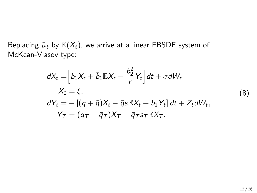Replacing  $\bar{\mu}_t$  by  $\mathbb{E}(X_t)$ , we arrive at a linear FBSDE system of McKean-Vlasov type:

$$
dX_t = \left[b_1X_t + \bar{b}_1\mathbb{E}X_t - \frac{b_2^2}{r}Y_t\right]dt + \sigma dW_t
$$
  
\n
$$
X_0 = \xi,
$$
  
\n
$$
dY_t = -\left[(q + \bar{q})X_t - \bar{q}s\mathbb{E}X_t + b_1Y_t\right]dt + Z_t dW_t,
$$
  
\n
$$
Y_T = (q_T + \bar{q}_T)X_T - \bar{q}_T s_T \mathbb{E}X_T.
$$

(8)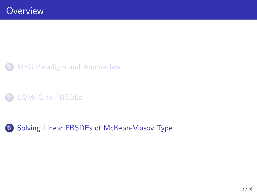## <span id="page-12-0"></span>[LQMFG to FBSDEs](#page-6-0)

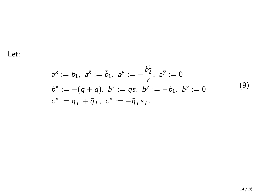Let:

$$
a^{x} := b_{1}, \ a^{\bar{x}} := \bar{b}_{1}, \ a^{y} := -\frac{b_{2}^{2}}{r}, \ a^{\bar{y}} := 0
$$
  
\n
$$
b^{x} := -(q + \bar{q}), \ b^{\bar{x}} := \bar{q}s, \ b^{y} := -b_{1}, \ b^{\bar{y}} := 0
$$
  
\n
$$
c^{x} := q_{T} + \bar{q}_{T}, \ c^{\bar{x}} := -\bar{q}_{T}s_{T}.
$$
\n(9)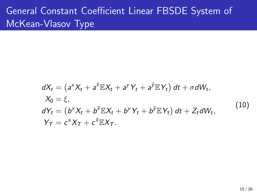# General Constant Coefficient Linear FBSDE System of McKean-Vlasov Type

<span id="page-14-0"></span>
$$
dX_t = (a^X X_t + a^{\overline{X}} \mathbb{E} X_t + a^Y Y_t + a^{\overline{Y}} \mathbb{E} Y_t) dt + \sigma dW_t,
$$
  
\n
$$
X_0 = \xi,
$$
  
\n
$$
dY_t = (b^X X_t + b^{\overline{X}} \mathbb{E} X_t + b^Y Y_t + b^{\overline{Y}} \mathbb{E} Y_t) dt + Z_t dW_t,
$$
  
\n
$$
Y_T = c^X X_T + c^{\overline{X}} \mathbb{E} X_T.
$$
\n(10)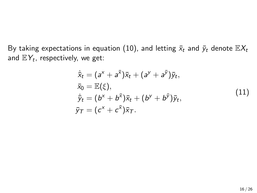By taking expectations in equation [\(10\)](#page-14-0), and letting  $\bar{x}_t$  and  $\bar{y}_t$  denote  $\mathbb{E}X_t$ and  $\mathbb{E} Y_t$ , respectively, we get:

<span id="page-15-0"></span>
$$
\dot{\bar{x}}_t = (a^x + a^{\bar{x}})\bar{x}_t + (a^y + a^{\bar{y}})\bar{y}_t,\n\bar{x}_0 = \mathbb{E}(\xi),\n\dot{\bar{y}}_t = (b^x + b^{\bar{x}})\bar{x}_t + (b^y + b^{\bar{y}})\bar{y}_t,\n\bar{y}_T = (c^x + c^{\bar{x}})\bar{x}_T.
$$
\n(11)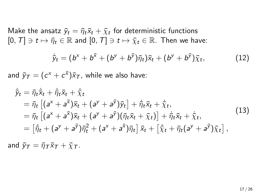Make the ansatz  $\bar{y}_t = \bar{\eta}_t \bar{x}_t + \bar{\chi}_t$  for deterministic functions  $[0, T] \ni t \mapsto \bar{\eta}_t \in \mathbb{R}$  and  $[0, T] \ni t \mapsto \bar{\chi}_t \in \mathbb{R}$ . Then we have:

$$
\dot{\bar{y}}_t = (b^x + b^{\bar{x}} + (b^y + b^{\bar{y}})\bar{\eta}_t)\bar{x}_t + (b^y + b^{\bar{y}})\bar{\chi}_t, \qquad (12)
$$

and  $\bar{y}_{\mathcal{T}} = (c^{\times} + c^{\bar{\times}}) \bar{\times}_{\mathcal{T}}$ , while we also have:

$$
\dot{\bar{y}}_t = \bar{\eta}_t \dot{\bar{x}}_t + \dot{\bar{\eta}}_t \bar{x}_t + \dot{\bar{\chi}}_t \n= \bar{\eta}_t \left[ (a^x + a^{\bar{x}}) \bar{x}_t + (a^y + a^{\bar{y}}) \bar{y}_t \right] + \dot{\bar{\eta}}_t \bar{x}_t + \dot{\bar{\chi}}_t, \n= \bar{\eta}_t \left[ (a^x + a^{\bar{x}}) \bar{x}_t + (a^y + a^{\bar{y}}) (\bar{\eta}_t \bar{x}_t + \bar{\chi}_t) \right] + \dot{\bar{\eta}}_t \bar{x}_t + \dot{\bar{\chi}}_t, \n= \left[ \dot{\bar{\eta}}_t + (a^y + a^{\bar{y}}) \bar{\eta}_t^2 + (a^x + a^{\bar{x}}) \bar{\eta}_t \right] \bar{x}_t + \left[ \dot{\bar{\chi}}_t + \bar{\eta}_t (a^y + a^{\bar{y}}) \bar{\chi}_t \right],
$$
\n(13)

and  $\bar{y}_T = \bar{\eta}_T \bar{x}_T + \bar{\chi}_T$ .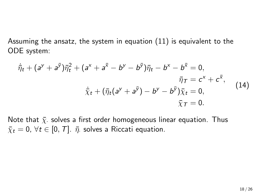Assuming the ansatz, the system in equation [\(11\)](#page-15-0) is equivalent to the ODE system:

$$
\dot{\bar{\eta}}_t + (a^y + a^{\bar{y}})\bar{\eta}_t^2 + (a^x + a^{\bar{x}} - b^y - b^{\bar{y}})\bar{\eta}_t - b^x - b^{\bar{x}} = 0, \n\bar{\eta}_T = c^x + c^{\bar{x}}, \n\dot{\bar{\chi}}_t + (\bar{\eta}_t(a^y + a^{\bar{y}}) - b^y - b^{\bar{y}})\bar{\chi}_t = 0, \n\bar{\chi}_T = 0.
$$
\n(14)

Note that  $\bar{x}$  solves a first order homogeneous linear equation. Thus  $\bar{\chi}_t = 0$ ,  $\forall t \in [0, T]$ .  $\bar{\eta}$  solves a Riccati equation.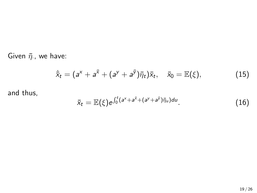Given  $\bar{\eta}$ ., we have:

$$
\dot{\overline{x}}_t = (a^x + a^{\overline{x}} + (a^y + a^{\overline{y}})\overline{\eta}_t)\overline{x}_t, \quad \overline{x}_0 = \mathbb{E}(\xi), \tag{15}
$$

and thus,

$$
\bar{x}_t = \mathbb{E}(\xi) e^{\int_0^t (a^x + a^{\bar{x}} + (a^y + a^{\bar{y}})\bar{\eta}_u) du}.
$$
 (16)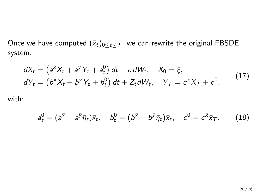Once we have computed  $(\bar{x}_t)_{0 \leq t \leq T}$ , we can rewrite the original FBSDE system:

$$
dX_t = \left(a^X X_t + a^Y Y_t + a_t^0\right) dt + \sigma dW_t, \quad X_0 = \xi,
$$
  
\n
$$
dY_t = \left(b^X X_t + b^Y Y_t + b_t^0\right) dt + Z_t dW_t, \quad Y_T = c^X X_T + c^0,
$$
\n(17)

with:

$$
a_t^0 = (a^{\overline{x}} + a^{\overline{y}} \overline{\eta}_t) \overline{x}_t, \quad b_t^0 = (b^{\overline{x}} + b^{\overline{y}} \overline{\eta}_t) \overline{x}_t, \quad c^0 = c^{\overline{x}} \overline{x}_T.
$$
 (18)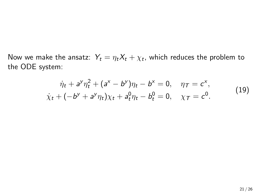Now we make the ansatz:  $\,Y_t = \eta_t X_t + \chi_t,$  which reduces the problem to the ODE system:

$$
\dot{\eta}_t + a^y \eta_t^2 + (a^x - b^y)\eta_t - b^x = 0, \quad \eta_T = c^x,
$$
  

$$
\dot{\chi}_t + (-b^y + a^y \eta_t)\chi_t + a^0_t \eta_t - b^0_t = 0, \quad \chi_T = c^0.
$$
 (19)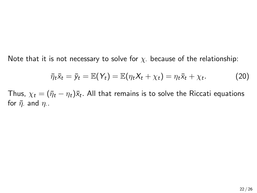Note that it is not necessary to solve for  $\chi$ . because of the relationship:

$$
\bar{\eta}_t \bar{x}_t = \bar{y}_t = \mathbb{E}(Y_t) = \mathbb{E}(\eta_t X_t + \chi_t) = \eta_t \bar{x}_t + \chi_t. \tag{20}
$$

Thus,  $\chi_t = (\bar{\eta}_t - \eta_t) \bar{\mathsf{x}}_t.$  All that remains is to solve the Riccati equations for  $\bar{\eta}$ . and  $\eta$ ..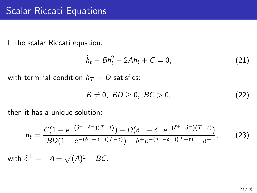If the scalar Riccati equation:

$$
\dot{h}_t - Bh_t^2 - 2Ah_t + C = 0, \tag{21}
$$

with terminal condition  $h_T = D$  satisfies:

$$
B \neq 0, \ BD \geq 0, \ BC > 0,
$$
 (22)

then it has a unique solution:

$$
h_t = \frac{C(1 - e^{-(\delta^+ - \delta^-)(\tau - t)}) + D(\delta^+ - \delta^- e^{-(\delta^+ - \delta^-)(\tau - t)})}{BD(1 - e^{-(\delta^+ - \delta^-)(\tau - t)}) + \delta^+ e^{-(\delta^+ - \delta^-)(\tau - t)} - \delta^-},
$$
(23)

with  $\delta^\pm=-A\pm\sqrt{(A)^2+BC}$  .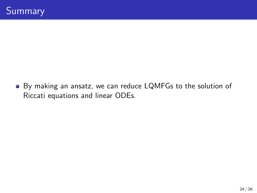By making an ansatz, we can reduce LQMFGs to the solution of Riccati equations and linear ODEs.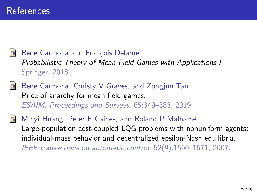René Carmona and François Delarue. Probabilistic Theory of Mean Field Games with Applications I. Springer, 2018.

- René Carmona, Christy V Graves, and Zongjun Tan. Price of anarchy for mean field games. ESAIM: Proceedings and Surveys, 65:349–383, 2019.
- Minyi Huang, Peter E Caines, and Roland P Malhamé. Large-population cost-coupled LQG problems with nonuniform agents: individual-mass behavior and decentralized epsilon-Nash equilibria. IEEE transactions on automatic control, 52(9):1560–1571, 2007.